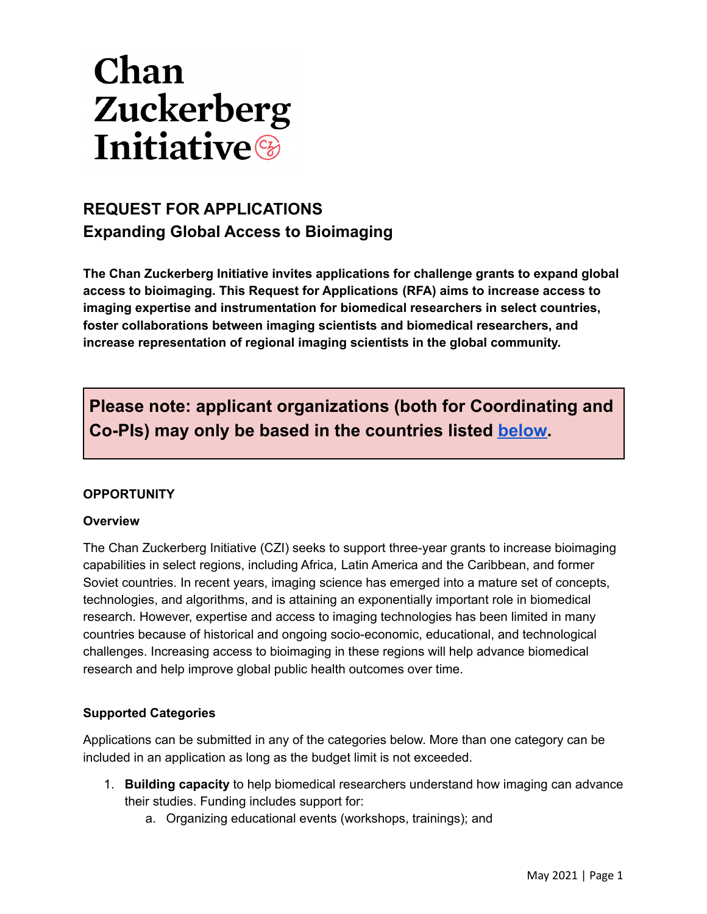# Chan Zuckerberg **Initiative**

## **REQUEST FOR APPLICATIONS Expanding Global Access to Bioimaging**

**The Chan Zuckerberg Initiative invites applications for challenge grants to expand global access to bioimaging. This Request for Applications (RFA) aims to increase access to imaging expertise and instrumentation for biomedical researchers in select countries, foster collaborations between imaging scientists and biomedical researchers, and increase representation of regional imaging scientists in the global community.**

**Please note: applicant organizations (both for Coordinating and Co-PIs) may only be based in the countries listed [below.](#page-2-0)**

#### **OPPORTUNITY**

#### **Overview**

The Chan Zuckerberg Initiative (CZI) seeks to support three-year grants to increase bioimaging capabilities in select regions, including Africa, Latin America and the Caribbean, and former Soviet countries. In recent years, imaging science has emerged into a mature set of concepts, technologies, and algorithms, and is attaining an exponentially important role in biomedical research. However, expertise and access to imaging technologies has been limited in many countries because of historical and ongoing socio-economic, educational, and technological challenges. Increasing access to bioimaging in these regions will help advance biomedical research and help improve global public health outcomes over time.

#### **Supported Categories**

Applications can be submitted in any of the categories below. More than one category can be included in an application as long as the budget limit is not exceeded.

- 1. **Building capacity** to help biomedical researchers understand how imaging can advance their studies. Funding includes support for:
	- a. Organizing educational events (workshops, trainings); and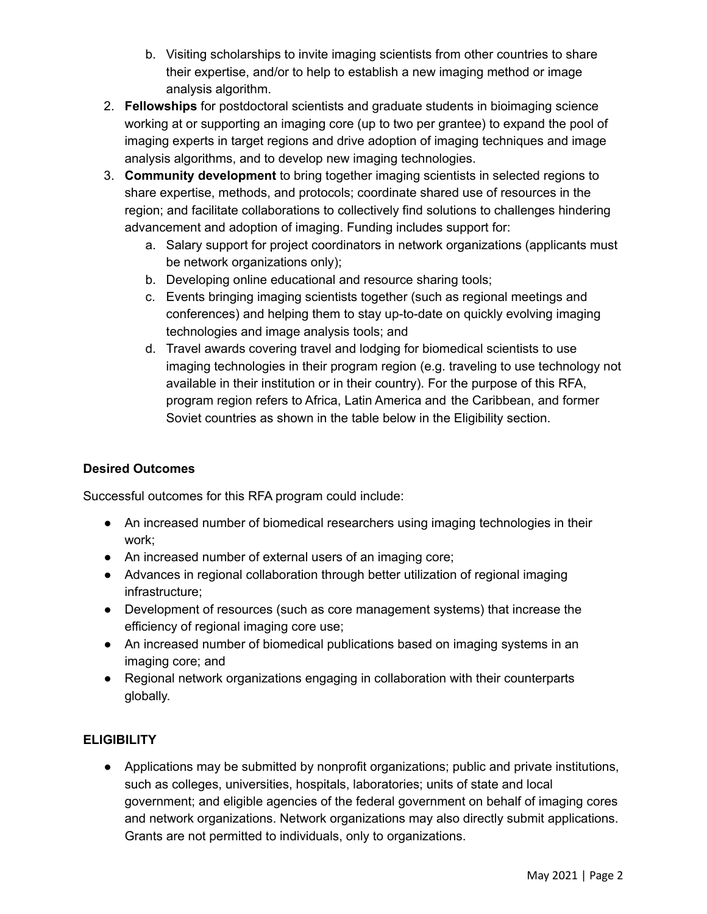- b. Visiting scholarships to invite imaging scientists from other countries to share their expertise, and/or to help to establish a new imaging method or image analysis algorithm.
- 2. **Fellowships** for postdoctoral scientists and graduate students in bioimaging science working at or supporting an imaging core (up to two per grantee) to expand the pool of imaging experts in target regions and drive adoption of imaging techniques and image analysis algorithms, and to develop new imaging technologies.
- 3. **Community development** to bring together imaging scientists in selected regions to share expertise, methods, and protocols; coordinate shared use of resources in the region; and facilitate collaborations to collectively find solutions to challenges hindering advancement and adoption of imaging. Funding includes support for:
	- a. Salary support for project coordinators in network organizations (applicants must be network organizations only);
	- b. Developing online educational and resource sharing tools;
	- c. Events bringing imaging scientists together (such as regional meetings and conferences) and helping them to stay up-to-date on quickly evolving imaging technologies and image analysis tools; and
	- d. Travel awards covering travel and lodging for biomedical scientists to use imaging technologies in their program region (e.g. traveling to use technology not available in their institution or in their country). For the purpose of this RFA, program region refers to Africa, Latin America and the Caribbean, and former Soviet countries as shown in the table below in the Eligibility section.

#### **Desired Outcomes**

Successful outcomes for this RFA program could include:

- An increased number of biomedical researchers using imaging technologies in their work;
- An increased number of external users of an imaging core;
- Advances in regional collaboration through better utilization of regional imaging infrastructure;
- Development of resources (such as core management systems) that increase the efficiency of regional imaging core use;
- An increased number of biomedical publications based on imaging systems in an imaging core; and
- Regional network organizations engaging in collaboration with their counterparts globally.

#### **ELIGIBILITY**

● Applications may be submitted by nonprofit organizations; public and private institutions, such as colleges, universities, hospitals, laboratories; units of state and local government; and eligible agencies of the federal government on behalf of imaging cores and network organizations. Network organizations may also directly submit applications. Grants are not permitted to individuals, only to organizations.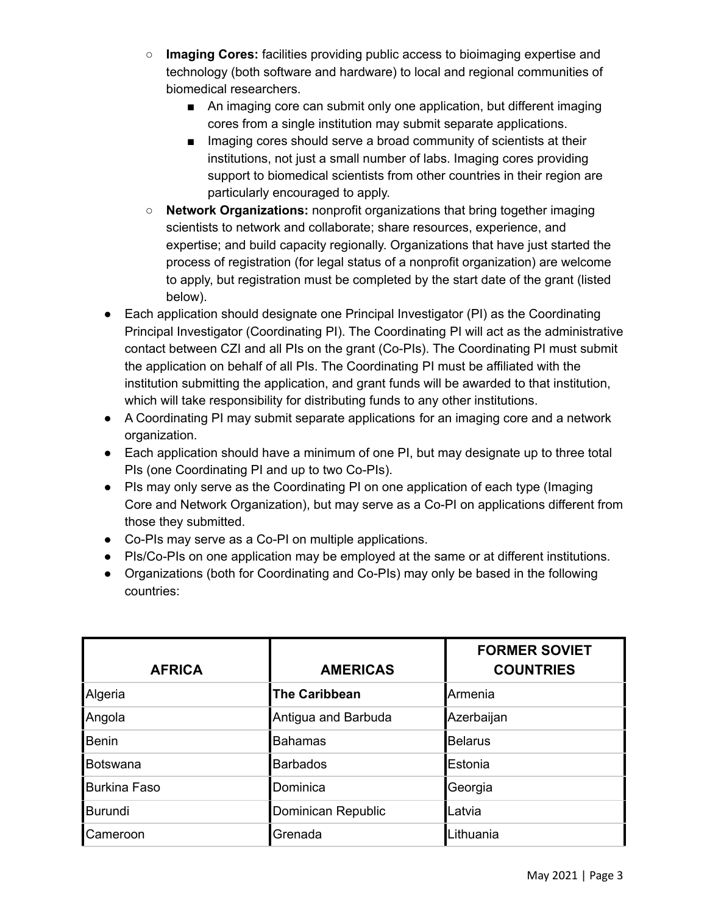- **Imaging Cores:** facilities providing public access to bioimaging expertise and technology (both software and hardware) to local and regional communities of biomedical researchers.
	- An imaging core can submit only one application, but different imaging cores from a single institution may submit separate applications.
	- Imaging cores should serve a broad community of scientists at their institutions, not just a small number of labs. Imaging cores providing support to biomedical scientists from other countries in their region are particularly encouraged to apply.
- **Network Organizations:** nonprofit organizations that bring together imaging scientists to network and collaborate; share resources, experience, and expertise; and build capacity regionally. Organizations that have just started the process of registration (for legal status of a nonprofit organization) are welcome to apply, but registration must be completed by the start date of the grant (listed below).
- Each application should designate one Principal Investigator (PI) as the Coordinating Principal Investigator (Coordinating PI). The Coordinating PI will act as the administrative contact between CZI and all PIs on the grant (Co-PIs). The Coordinating PI must submit the application on behalf of all PIs. The Coordinating PI must be affiliated with the institution submitting the application, and grant funds will be awarded to that institution, which will take responsibility for distributing funds to any other institutions.
- A Coordinating PI may submit separate applications for an imaging core and a network organization.
- Each application should have a minimum of one PI, but may designate up to three total PIs (one Coordinating PI and up to two Co-PIs).
- PIs may only serve as the Coordinating PI on one application of each type (Imaging Core and Network Organization), but may serve as a Co-PI on applications different from those they submitted.
- Co-PIs may serve as a Co-PI on multiple applications.
- PIs/Co-PIs on one application may be employed at the same or at different institutions.
- Organizations (both for Coordinating and Co-PIs) may only be based in the following countries:

<span id="page-2-0"></span>

| <b>AFRICA</b>  | <b>AMERICAS</b>      | <b>FORMER SOVIET</b><br><b>COUNTRIES</b> |
|----------------|----------------------|------------------------------------------|
| Algeria        | <b>The Caribbean</b> | Armenia                                  |
| Angola         | Antigua and Barbuda  | Azerbaijan                               |
| <b>Benin</b>   | Bahamas              | <b>Belarus</b>                           |
| Botswana       | <b>Barbados</b>      | Estonia                                  |
| Burkina Faso   | Dominica             | Georgia                                  |
| <b>Burundi</b> | Dominican Republic   | Latvia                                   |
| lCameroon      | Grenada              | Lithuania                                |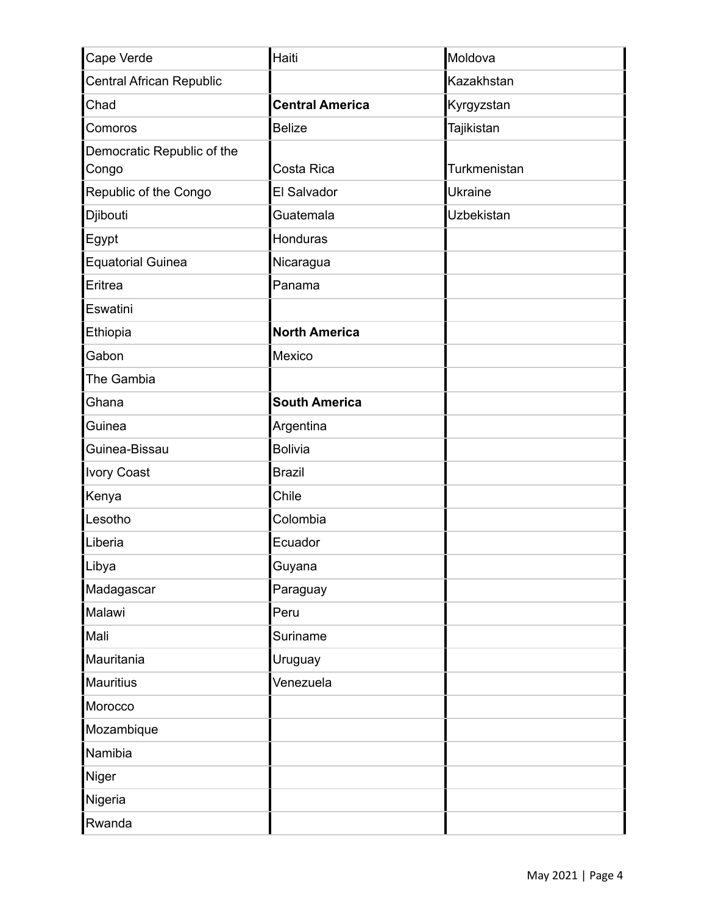| Cape Verde                          | Haiti                  | Moldova             |
|-------------------------------------|------------------------|---------------------|
| Central African Republic            |                        | Kazakhstan          |
| Chad                                | <b>Central America</b> | Kyrgyzstan          |
| Comoros                             | <b>Belize</b>          | Tajikistan          |
| Democratic Republic of the<br>Congo | Costa Rica             | <b>Turkmenistan</b> |
| Republic of the Congo               | El Salvador            | <b>Ukraine</b>      |
| Djibouti                            | Guatemala              | <b>Uzbekistan</b>   |
| Egypt                               | Honduras               |                     |
| <b>Equatorial Guinea</b>            | Nicaragua              |                     |
| Eritrea                             | Panama                 |                     |
| Eswatini                            |                        |                     |
| Ethiopia                            | <b>North America</b>   |                     |
| Gabon                               | Mexico                 |                     |
| The Gambia                          |                        |                     |
| Ghana                               | <b>South America</b>   |                     |
| Guinea                              | Argentina              |                     |
| Guinea-Bissau                       | Bolivia                |                     |
| <b>Ivory Coast</b>                  | <b>Brazil</b>          |                     |
| Kenya                               | Chile                  |                     |
| Lesotho                             | Colombia               |                     |
| Liberia                             | Ecuador                |                     |
| ∣Libya                              | Guyana                 |                     |
| Madagascar                          | Paraguay               |                     |
| Malawi                              | Peru                   |                     |
| Mali                                | Suriname               |                     |
| Mauritania                          | Uruguay                |                     |
| Mauritius                           | Venezuela              |                     |
| Morocco                             |                        |                     |
| Mozambique                          |                        |                     |
| Namibia                             |                        |                     |
| Niger                               |                        |                     |
| Nigeria                             |                        |                     |
| Rwanda                              |                        |                     |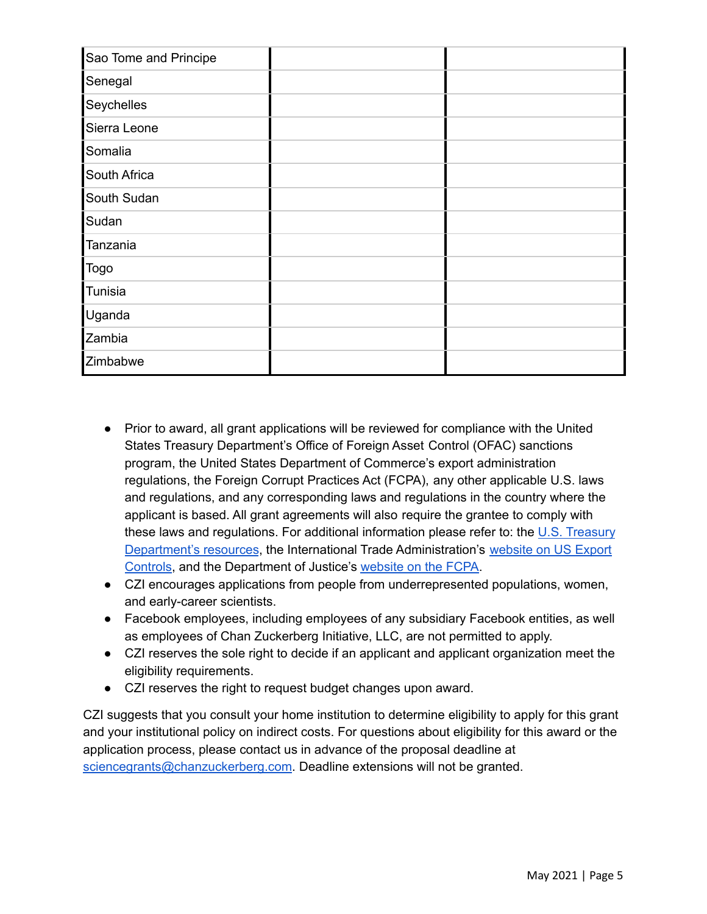| Sao Tome and Principe |  |
|-----------------------|--|
| Senegal               |  |
| Seychelles            |  |
| Sierra Leone          |  |
| Somalia               |  |
| South Africa          |  |
| South Sudan           |  |
| Sudan                 |  |
| Tanzania              |  |
| Togo                  |  |
| Tunisia               |  |
| Uganda                |  |
| Zambia                |  |
| Zimbabwe              |  |

- Prior to award, all grant applications will be reviewed for compliance with the United States Treasury Department's Office of Foreign Asset Control (OFAC) sanctions program, the United States Department of Commerce's export administration regulations, the Foreign Corrupt Practices Act (FCPA), any other applicable U.S. laws and regulations, and any corresponding laws and regulations in the country where the applicant is based. All grant agreements will also require the grantee to comply with these laws and regulations. For additional information please refer to: the U.S. [Treasury](https://www.treasury.gov/resource-center/sanctions/Pages/default.aspx) [Department's](https://www.treasury.gov/resource-center/sanctions/Pages/default.aspx) resources, the International Trade Administration's [website](https://www.trade.gov/us-export-controls) on US Export [Controls,](https://www.trade.gov/us-export-controls) and the Department of Justice's [website](https://www.justice.gov/criminal-fraud/foreign-corrupt-practices-act) on the FCPA.
- CZI encourages applications from people from underrepresented populations, women, and early-career scientists.
- Facebook employees, including employees of any subsidiary Facebook entities, as well as employees of Chan Zuckerberg Initiative, LLC, are not permitted to apply.
- CZI reserves the sole right to decide if an applicant and applicant organization meet the eligibility requirements.
- CZI reserves the right to request budget changes upon award.

CZI suggests that you consult your home institution to determine eligibility to apply for this grant and your institutional policy on indirect costs. For questions about eligibility for this award or the application process, please contact us in advance of the proposal deadline at [sciencegrants@chanzuckerberg.com](mailto:sciencegrants@chanzuckerberg.com). Deadline extensions will not be granted.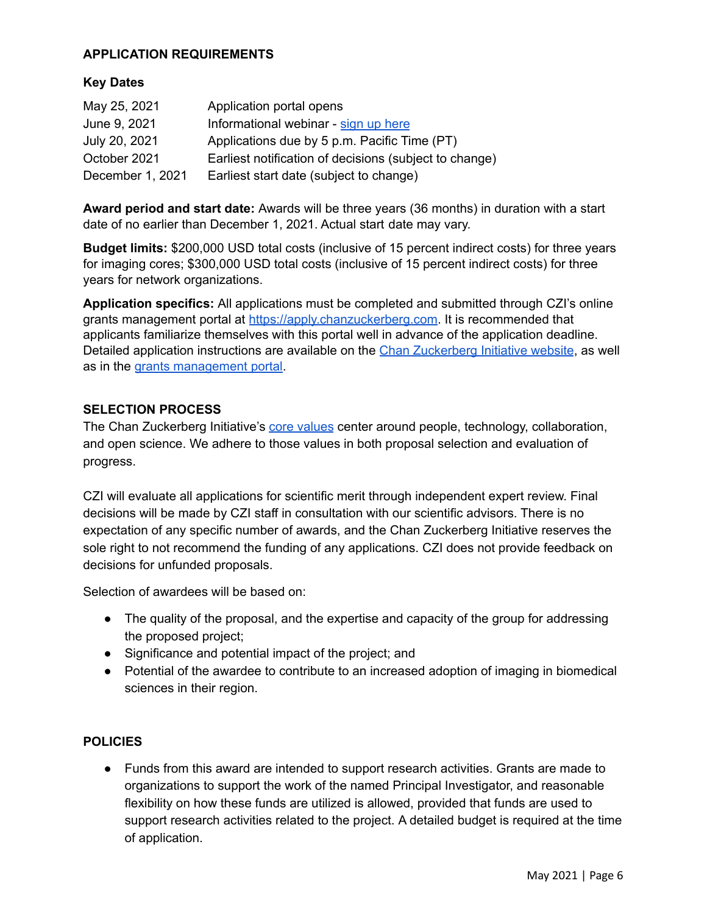#### **APPLICATION REQUIREMENTS**

#### **Key Dates**

| May 25, 2021     | Application portal opens                               |
|------------------|--------------------------------------------------------|
| June 9, 2021     | Informational webinar - sign up here                   |
| July 20, 2021    | Applications due by 5 p.m. Pacific Time (PT)           |
| October 2021     | Earliest notification of decisions (subject to change) |
| December 1, 2021 | Earliest start date (subject to change)                |

**Award period and start date:** Awards will be three years (36 months) in duration with a start date of no earlier than December 1, 2021. Actual start date may vary.

**Budget limits:** \$200,000 USD total costs (inclusive of 15 percent indirect costs) for three years for imaging cores; \$300,000 USD total costs (inclusive of 15 percent indirect costs) for three years for network organizations.

**Application specifics:** All applications must be completed and submitted through CZI's online grants management portal at <https://apply.chanzuckerberg.com>. It is recommended that applicants familiarize themselves with this portal well in advance of the application deadline. Detailed application instructions are available on the Chan [Zuckerberg](https://chanzuckerberg.com/rfa/expanding-global-access-bioimaging/) Initiative website, as well as in the grants [management](https://apply.chanzuckerberg.com/) portal.

#### **SELECTION PROCESS**

The Chan Zuckerberg Initiative's core [values](https://chanzuckerberg.com/science/our-values-approach/) center around people, technology, collaboration, and open science. We adhere to those values in both proposal selection and evaluation of progress.

CZI will evaluate all applications for scientific merit through independent expert review. Final decisions will be made by CZI staff in consultation with our scientific advisors. There is no expectation of any specific number of awards, and the Chan Zuckerberg Initiative reserves the sole right to not recommend the funding of any applications. CZI does not provide feedback on decisions for unfunded proposals.

Selection of awardees will be based on:

- The quality of the proposal, and the expertise and capacity of the group for addressing the proposed project;
- Significance and potential impact of the project; and
- Potential of the awardee to contribute to an increased adoption of imaging in biomedical sciences in their region.

#### **POLICIES**

● Funds from this award are intended to support research activities. Grants are made to organizations to support the work of the named Principal Investigator, and reasonable flexibility on how these funds are utilized is allowed, provided that funds are used to support research activities related to the project. A detailed budget is required at the time of application.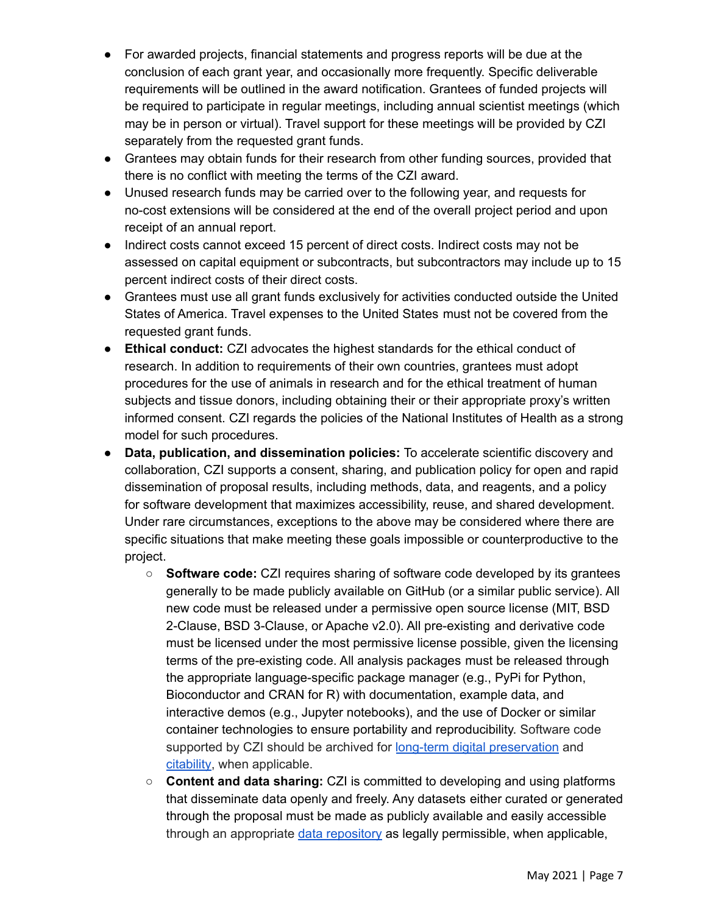- For awarded projects, financial statements and progress reports will be due at the conclusion of each grant year, and occasionally more frequently. Specific deliverable requirements will be outlined in the award notification. Grantees of funded projects will be required to participate in regular meetings, including annual scientist meetings (which may be in person or virtual). Travel support for these meetings will be provided by CZI separately from the requested grant funds.
- Grantees may obtain funds for their research from other funding sources, provided that there is no conflict with meeting the terms of the CZI award.
- Unused research funds may be carried over to the following year, and requests for no-cost extensions will be considered at the end of the overall project period and upon receipt of an annual report.
- Indirect costs cannot exceed 15 percent of direct costs. Indirect costs may not be assessed on capital equipment or subcontracts, but subcontractors may include up to 15 percent indirect costs of their direct costs.
- Grantees must use all grant funds exclusively for activities conducted outside the United States of America. Travel expenses to the United States must not be covered from the requested grant funds.
- **Ethical conduct:** CZI advocates the highest standards for the ethical conduct of research. In addition to requirements of their own countries, grantees must adopt procedures for the use of animals in research and for the ethical treatment of human subjects and tissue donors, including obtaining their or their appropriate proxy's written informed consent. CZI regards the policies of the National Institutes of Health as a strong model for such procedures.
- **Data, publication, and dissemination policies:** To accelerate scientific discovery and collaboration, CZI supports a consent, sharing, and publication policy for open and rapid dissemination of proposal results, including methods, data, and reagents, and a policy for software development that maximizes accessibility, reuse, and shared development. Under rare circumstances, exceptions to the above may be considered where there are specific situations that make meeting these goals impossible or counterproductive to the project.
	- **Software code:** CZI requires sharing of software code developed by its grantees generally to be made publicly available on GitHub (or a similar public service). All new code must be released under a permissive open source license (MIT, BSD 2-Clause, BSD 3-Clause, or Apache v2.0). All pre-existing and derivative code must be licensed under the most permissive license possible, given the licensing terms of the pre-existing code. All analysis packages must be released through the appropriate language-specific package manager (e.g., PyPi for Python, Bioconductor and CRAN for R) with documentation, example data, and interactive demos (e.g., Jupyter notebooks), and the use of Docker or similar container technologies to ensure portability and reproducibility. Software code supported by CZI should be archived for long-term digital [preservation](https://www.softwareheritage.org/archive/) and [citability](https://guides.github.com/activities/citable-code/), when applicable.
	- **Content and data sharing:** CZI is committed to developing and using platforms that disseminate data openly and freely. Any datasets either curated or generated through the proposal must be made as publicly available and easily accessible through an appropriate data [repository](https://www.re3data.org/) as legally permissible, when applicable,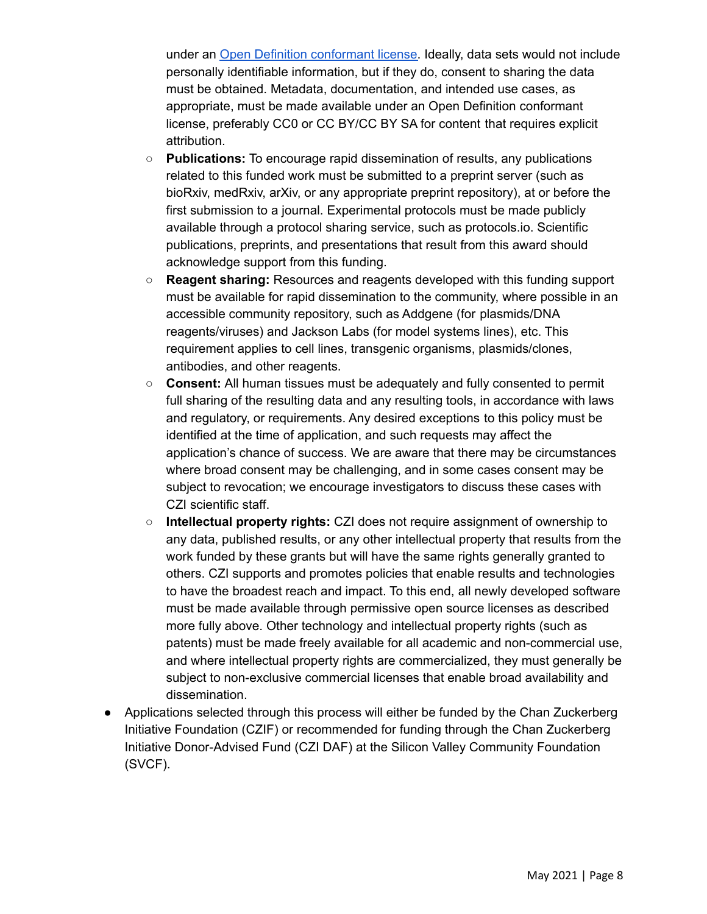under an Open Definition [conformant](http://opendefinition.org/licenses/) license. Ideally, data sets would not include personally identifiable information, but if they do, consent to sharing the data must be obtained. Metadata, documentation, and intended use cases, as appropriate, must be made available under an Open Definition conformant license, preferably CC0 or CC BY/CC BY SA for content that requires explicit attribution.

- **Publications:** To encourage rapid dissemination of results, any publications related to this funded work must be submitted to a preprint server (such as bioRxiv, medRxiv, arXiv, or any appropriate preprint repository), at or before the first submission to a journal. Experimental protocols must be made publicly available through a protocol sharing service, such as protocols.io. Scientific publications, preprints, and presentations that result from this award should acknowledge support from this funding.
- **Reagent sharing:** Resources and reagents developed with this funding support must be available for rapid dissemination to the community, where possible in an accessible community repository, such as Addgene (for plasmids/DNA reagents/viruses) and Jackson Labs (for model systems lines), etc. This requirement applies to cell lines, transgenic organisms, plasmids/clones, antibodies, and other reagents.
- **Consent:** All human tissues must be adequately and fully consented to permit full sharing of the resulting data and any resulting tools, in accordance with laws and regulatory, or requirements. Any desired exceptions to this policy must be identified at the time of application, and such requests may affect the application's chance of success. We are aware that there may be circumstances where broad consent may be challenging, and in some cases consent may be subject to revocation; we encourage investigators to discuss these cases with CZI scientific staff.
- **Intellectual property rights:** CZI does not require assignment of ownership to any data, published results, or any other intellectual property that results from the work funded by these grants but will have the same rights generally granted to others. CZI supports and promotes policies that enable results and technologies to have the broadest reach and impact. To this end, all newly developed software must be made available through permissive open source licenses as described more fully above. Other technology and intellectual property rights (such as patents) must be made freely available for all academic and non-commercial use, and where intellectual property rights are commercialized, they must generally be subject to non-exclusive commercial licenses that enable broad availability and dissemination.
- Applications selected through this process will either be funded by the Chan Zuckerberg Initiative Foundation (CZIF) or recommended for funding through the Chan Zuckerberg Initiative Donor-Advised Fund (CZI DAF) at the Silicon Valley Community Foundation (SVCF).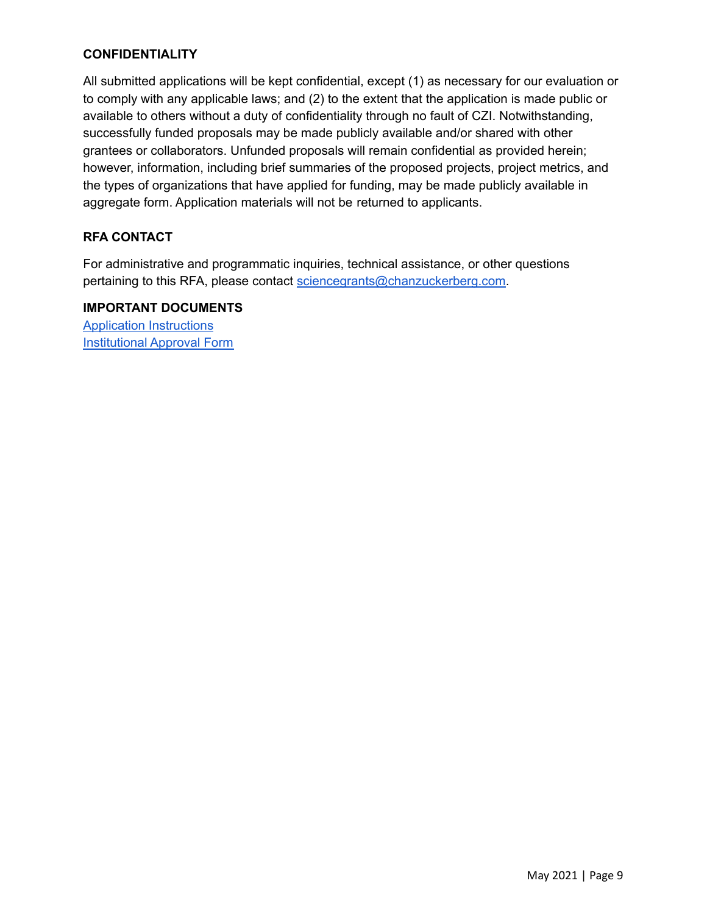#### **CONFIDENTIALITY**

All submitted applications will be kept confidential, except (1) as necessary for our evaluation or to comply with any applicable laws; and (2) to the extent that the application is made public or available to others without a duty of confidentiality through no fault of CZI. Notwithstanding, successfully funded proposals may be made publicly available and/or shared with other grantees or collaborators. Unfunded proposals will remain confidential as provided herein; however, information, including brief summaries of the proposed projects, project metrics, and the types of organizations that have applied for funding, may be made publicly available in aggregate form. Application materials will not be returned to applicants.

#### **RFA CONTACT**

For administrative and programmatic inquiries, technical assistance, or other questions pertaining to this RFA, please contact [sciencegrants@chanzuckerberg.com](mailto:sciencegrants@chanzuckerberg.com).

**IMPORTANT DOCUMENTS** Application [Instructions](https://apply.chanzuckerberg.com/protected/resource/eyJoZnJlIjogOTQ1OTM2NzAsICJ2cSI6IDE2OTU5NH0/) [Institutional](https://apply.chanzuckerberg.com/protected/resource/eyJoZnJlIjogOTQ1ODEyNDksICJ2cSI6IDE2ODQ2Nn0/) Approval Form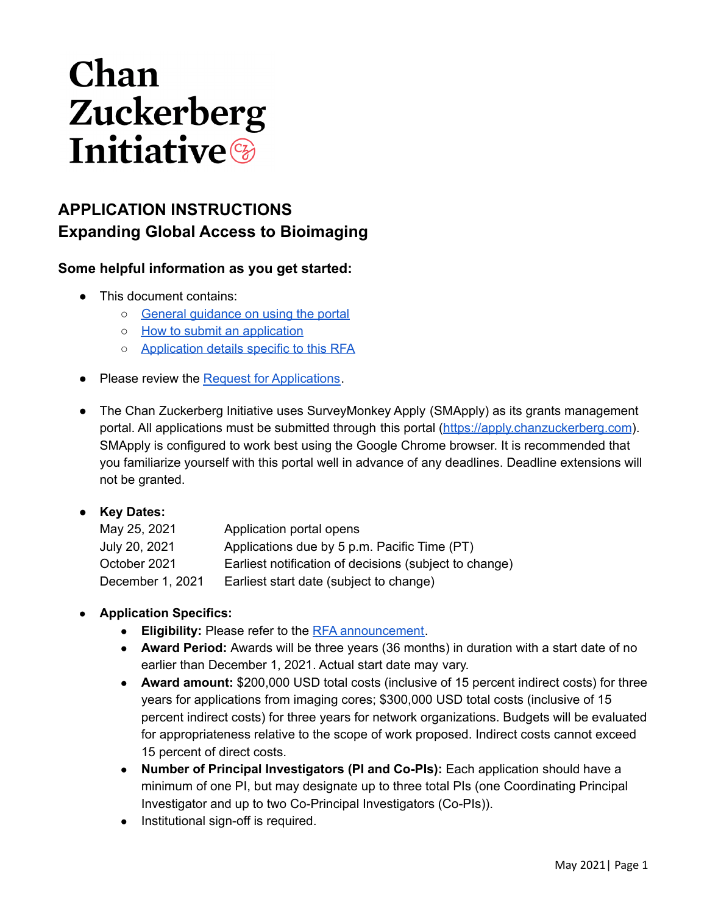# Chan Zuckerberg **Initiative**

### **APPLICATION INSTRUCTIONS Expanding Global Access to Bioimaging**

#### **Some helpful information as you get started:**

- This document contains:
	- o General quidance on using the portal
	- o How to submit an [application](#page-11-0)
	- o [Application](#page-12-0) details specific to this RFA
- Please review the Request for [Applications](https://chanzuckerberg.com/rfa/expanding-global-access-bioimaging/).
- The Chan Zuckerberg Initiative uses SurveyMonkey Apply (SMApply) as its grants management portal. All applications must be submitted through this portal (<https://apply.chanzuckerberg.com>). SMApply is configured to work best using the Google Chrome browser. It is recommended that you familiarize yourself with this portal well in advance of any deadlines. Deadline extensions will not be granted.

#### ● **Key Dates:**

| May 25, 2021     | Application portal opens                               |
|------------------|--------------------------------------------------------|
| July 20, 2021    | Applications due by 5 p.m. Pacific Time (PT)           |
| October 2021     | Earliest notification of decisions (subject to change) |
| December 1, 2021 | Earliest start date (subject to change)                |

#### **● Application Specifics:**

- **Eligibility:** Please refer to the RFA [announcement](https://chanzuckerberg.com/rfa/expanding-global-access-bioimaging/).
- **Award Period:** Awards will be three years (36 months) in duration with a start date of no earlier than December 1, 2021. Actual start date may vary.
- **Award amount:** \$200,000 USD total costs (inclusive of 15 percent indirect costs) for three years for applications from imaging cores; \$300,000 USD total costs (inclusive of 15 percent indirect costs) for three years for network organizations. Budgets will be evaluated for appropriateness relative to the scope of work proposed. Indirect costs cannot exceed 15 percent of direct costs.
- **Number of Principal Investigators (PI and Co-PIs):** Each application should have a minimum of one PI, but may designate up to three total PIs (one Coordinating Principal Investigator and up to two Co-Principal Investigators (Co-PIs)).
- Institutional sign-off is required.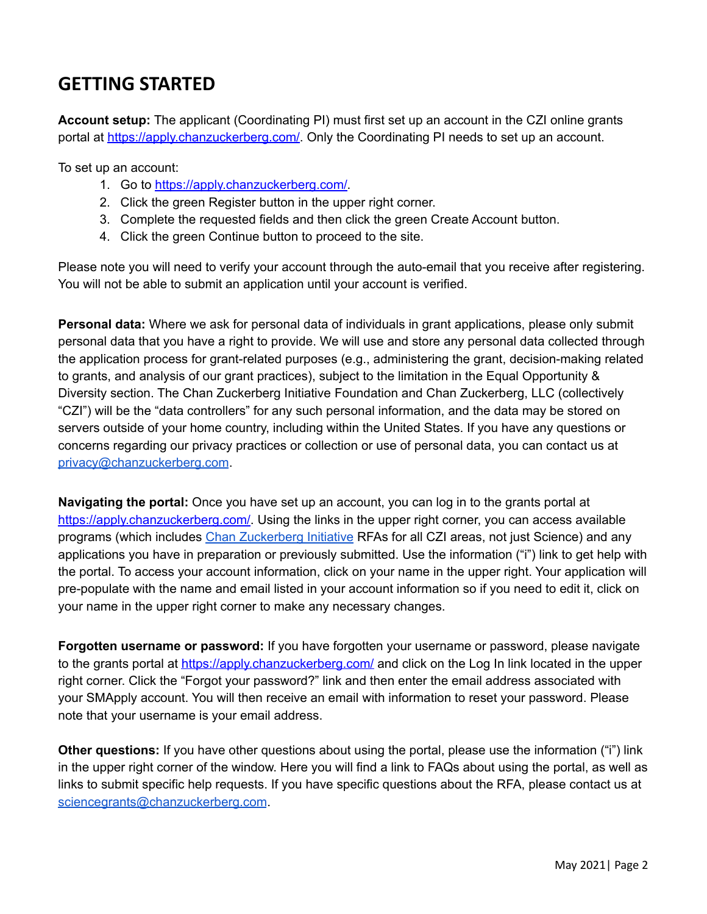# <span id="page-10-0"></span>**GETTING STARTED**

**Account setup:** The applicant (Coordinating PI) must first set up an account in the CZI online grants portal at [https://apply.chanzuckerberg.com/.](https://apply.chanzuckerberg.com/) Only the Coordinating PI needs to set up an account.

To set up an account:

- 1. Go to <https://apply.chanzuckerberg.com/>.
- 2. Click the green Register button in the upper right corner.
- 3. Complete the requested fields and then click the green Create Account button.
- 4. Click the green Continue button to proceed to the site.

Please note you will need to verify your account through the auto-email that you receive after registering. You will not be able to submit an application until your account is verified.

**Personal data:** Where we ask for personal data of individuals in grant applications, please only submit personal data that you have a right to provide. We will use and store any personal data collected through the application process for grant-related purposes (e.g., administering the grant, decision-making related to grants, and analysis of our grant practices), subject to the limitation in the Equal Opportunity & Diversity section. The Chan Zuckerberg Initiative Foundation and Chan Zuckerberg, LLC (collectively "CZI") will be the "data controllers" for any such personal information, and the data may be stored on servers outside of your home country, including within the United States. If you have any questions or concerns regarding our privacy practices or collection or use of personal data, you can contact us at [privacy@chanzuckerberg.com](mailto:privacy@chanzuckerberg.com).

**Navigating the portal:** Once you have set up an account, you can log in to the grants portal at [https://apply.chanzuckerberg.com/.](https://apply.chanzuckerberg.com/) Using the links in the upper right corner, you can access available programs (which includes Chan [Zuckerberg](https://apply.chanzuckerberg.com/) Initiative RFAs for all CZI areas, not just Science) and any applications you have in preparation or previously submitted. Use the information ("i") link to get help with the portal. To access your account information, click on your name in the upper right. Your application will pre-populate with the name and email listed in your account information so if you need to edit it, click on your name in the upper right corner to make any necessary changes.

**Forgotten username or password:** If you have forgotten your username or password, please navigate to the grants portal at <https://apply.chanzuckerberg.com/> and click on the Log In link located in the upper right corner. Click the "Forgot your password?" link and then enter the email address associated with your SMApply account. You will then receive an email with information to reset your password. Please note that your username is your email address.

**Other questions:** If you have other questions about using the portal, please use the information ("i") link in the upper right corner of the window. Here you will find a link to FAQs about using the portal, as well as links to submit specific help requests. If you have specific questions about the RFA, please contact us at [sciencegrants@chanzuckerberg.com](mailto:sciencegrants@chanzuckerberg.com).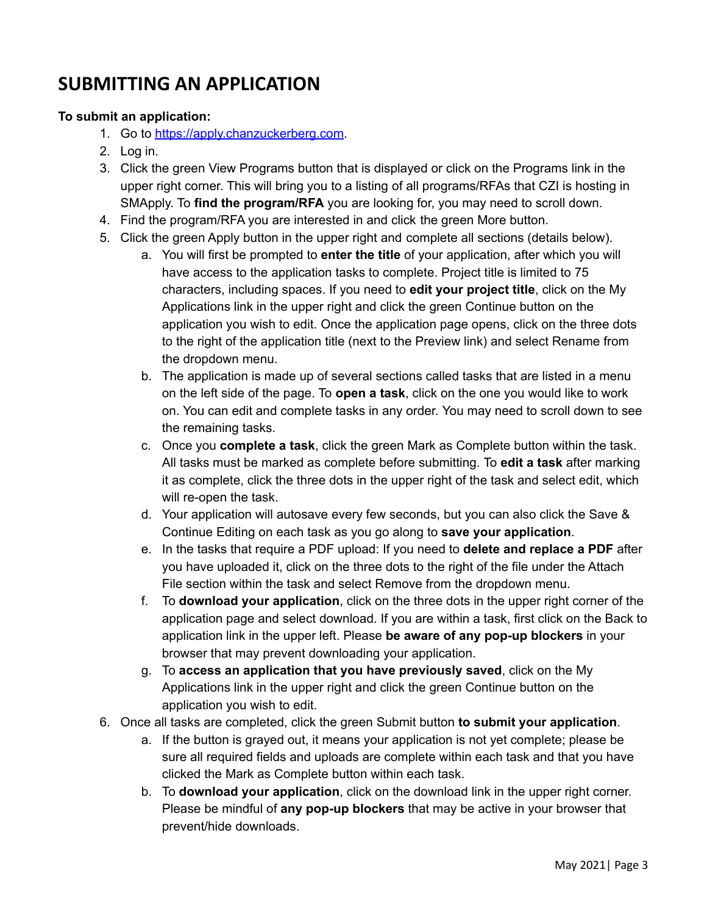# <span id="page-11-0"></span>**SUBMITTING AN APPLICATION**

#### **To submit an application:**

- 1. Go to [https://apply.chanzuckerberg.com.](https://apply.chanzuckerberg.com)
- 2. Log in.
- 3. Click the green View Programs button that is displayed or click on the Programs link in the upper right corner. This will bring you to a listing of all programs/RFAs that CZI is hosting in SMApply. To **find the program/RFA** you are looking for, you may need to scroll down.
- 4. Find the program/RFA you are interested in and click the green More button.
- 5. Click the green Apply button in the upper right and complete all sections (details below).
	- a. You will first be prompted to **enter the title** of your application, after which you will have access to the application tasks to complete. Project title is limited to 75 characters, including spaces. If you need to **edit your project title**, click on the My Applications link in the upper right and click the green Continue button on the application you wish to edit. Once the application page opens, click on the three dots to the right of the application title (next to the Preview link) and select Rename from the dropdown menu.
	- b. The application is made up of several sections called tasks that are listed in a menu on the left side of the page. To **open a task**, click on the one you would like to work on. You can edit and complete tasks in any order. You may need to scroll down to see the remaining tasks.
	- c. Once you **complete a task**, click the green Mark as Complete button within the task. All tasks must be marked as complete before submitting. To **edit a task** after marking it as complete, click the three dots in the upper right of the task and select edit, which will re-open the task.
	- d. Your application will autosave every few seconds, but you can also click the Save & Continue Editing on each task as you go along to **save your application**.
	- e. In the tasks that require a PDF upload: If you need to **delete and replace a PDF** after you have uploaded it, click on the three dots to the right of the file under the Attach File section within the task and select Remove from the dropdown menu.
	- f. To **download your application**, click on the three dots in the upper right corner of the application page and select download. If you are within a task, first click on the Back to application link in the upper left. Please **be aware of any pop-up blockers** in your browser that may prevent downloading your application.
	- g. To **access an application that you have previously saved**, click on the My Applications link in the upper right and click the green Continue button on the application you wish to edit.
- 6. Once all tasks are completed, click the green Submit button **to submit your application**.
	- a. If the button is grayed out, it means your application is not yet complete; please be sure all required fields and uploads are complete within each task and that you have clicked the Mark as Complete button within each task.
	- b. To **download your application**, click on the download link in the upper right corner. Please be mindful of **any pop-up blockers** that may be active in your browser that prevent/hide downloads.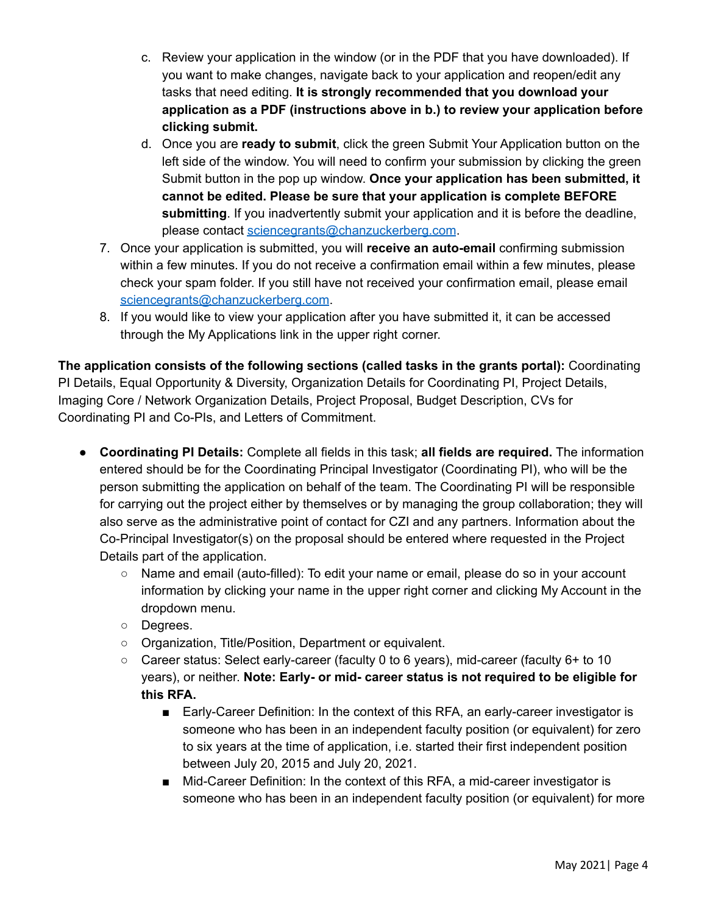- c. Review your application in the window (or in the PDF that you have downloaded). If you want to make changes, navigate back to your application and reopen/edit any tasks that need editing. **It is strongly recommended that you download your application as a PDF (instructions above in b.) to review your application before clicking submit.**
- d. Once you are **ready to submit**, click the green Submit Your Application button on the left side of the window. You will need to confirm your submission by clicking the green Submit button in the pop up window. **Once your application has been submitted, it cannot be edited. Please be sure that your application is complete BEFORE submitting**. If you inadvertently submit your application and it is before the deadline, please contact [sciencegrants@chanzuckerberg.com](mailto:sciencegrants@chanzuckerberg.com).
- 7. Once your application is submitted, you will **receive an auto-email** confirming submission within a few minutes. If you do not receive a confirmation email within a few minutes, please check your spam folder. If you still have not received your confirmation email, please email [sciencegrants@chanzuckerberg.com](mailto:sciencegrants@chanzuckerberg.com).
- 8. If you would like to view your application after you have submitted it, it can be accessed through the My Applications link in the upper right corner.

**The application consists of the following sections (called tasks in the grants portal):** Coordinating PI Details, Equal Opportunity & Diversity, Organization Details for Coordinating PI, Project Details, Imaging Core / Network Organization Details, Project Proposal, Budget Description, CVs for Coordinating PI and Co-PIs, and Letters of Commitment.

- <span id="page-12-0"></span>● **Coordinating PI Details:** Complete all fields in this task; **all fields are required.** The information entered should be for the Coordinating Principal Investigator (Coordinating PI), who will be the person submitting the application on behalf of the team. The Coordinating PI will be responsible for carrying out the project either by themselves or by managing the group collaboration; they will also serve as the administrative point of contact for CZI and any partners. Information about the Co-Principal Investigator(s) on the proposal should be entered where requested in the Project Details part of the application.
	- Name and email (auto-filled): To edit your name or email, please do so in your account information by clicking your name in the upper right corner and clicking My Account in the dropdown menu.
	- Degrees.
	- Organization, Title/Position, Department or equivalent.
	- Career status: Select early-career (faculty 0 to 6 years), mid-career (faculty 6+ to 10 years), or neither. **Note: Early- or mid- career status is not required to be eligible for this RFA.**
		- Early-Career Definition: In the context of this RFA, an early-career investigator is someone who has been in an independent faculty position (or equivalent) for zero to six years at the time of application, i.e. started their first independent position between July 20, 2015 and July 20, 2021.
		- Mid-Career Definition: In the context of this RFA, a mid-career investigator is someone who has been in an independent faculty position (or equivalent) for more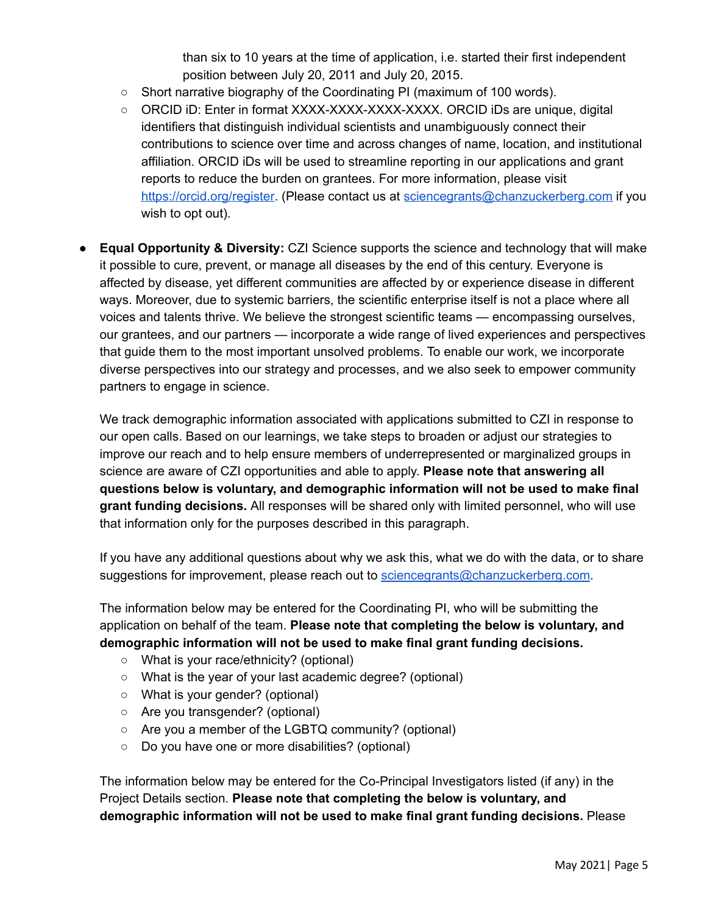than six to 10 years at the time of application, i.e. started their first independent position between July 20, 2011 and July 20, 2015.

- Short narrative biography of the Coordinating PI (maximum of 100 words).
- ORCID iD: Enter in format XXXX-XXXX-XXXX-XXXX. ORCID iDs are unique, digital identifiers that distinguish individual scientists and unambiguously connect their contributions to science over time and across changes of name, location, and institutional affiliation. ORCID iDs will be used to streamline reporting in our applications and grant reports to reduce the burden on grantees. For more information, please visit [https://orcid.org/register.](https://orcid.org/register) (Please contact us at [sciencegrants@chanzuckerberg.com](mailto:sciencegrants@chanzuckerberg.com) if you wish to opt out).
- **Equal Opportunity & Diversity:** CZI Science supports the science and technology that will make it possible to cure, prevent, or manage all diseases by the end of this century. Everyone is affected by disease, yet different communities are affected by or experience disease in different ways. Moreover, due to systemic barriers, the scientific enterprise itself is not a place where all voices and talents thrive. We believe the strongest scientific teams — encompassing ourselves, our grantees, and our partners — incorporate a wide range of lived experiences and perspectives that guide them to the most important unsolved problems. To enable our work, we incorporate diverse perspectives into our strategy and processes, and we also seek to empower community partners to engage in science.

We track demographic information associated with applications submitted to CZI in response to our open calls. Based on our learnings, we take steps to broaden or adjust our strategies to improve our reach and to help ensure members of underrepresented or marginalized groups in science are aware of CZI opportunities and able to apply. **Please note that answering all questions below is voluntary, and demographic information will not be used to make final grant funding decisions.** All responses will be shared only with limited personnel, who will use that information only for the purposes described in this paragraph.

If you have any additional questions about why we ask this, what we do with the data, or to share suggestions for improvement, please reach out to [sciencegrants@chanzuckerberg.com](mailto:sciencegrants@chanzuckerberg.com).

The information below may be entered for the Coordinating PI, who will be submitting the application on behalf of the team. **Please note that completing the below is voluntary, and demographic information will not be used to make final grant funding decisions.**

- What is your race/ethnicity? (optional)
- What is the year of your last academic degree? (optional)
- What is your gender? (optional)
- Are you transgender? (optional)
- Are you a member of the LGBTQ community? (optional)
- Do you have one or more disabilities? (optional)

The information below may be entered for the Co-Principal Investigators listed (if any) in the Project Details section. **Please note that completing the below is voluntary, and demographic information will not be used to make final grant funding decisions.** Please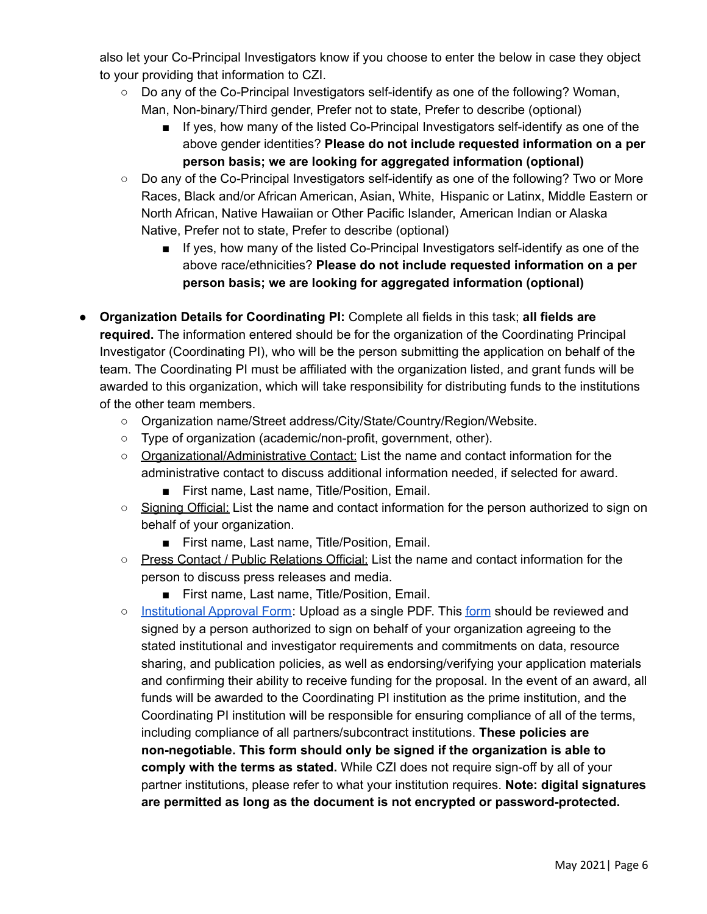also let your Co-Principal Investigators know if you choose to enter the below in case they object to your providing that information to CZI.

- Do any of the Co-Principal Investigators self-identify as one of the following? Woman, Man, Non-binary/Third gender, Prefer not to state, Prefer to describe (optional)
	- If yes, how many of the listed Co-Principal Investigators self-identify as one of the above gender identities? **Please do not include requested information on a per person basis; we are looking for aggregated information (optional)**
- Do any of the Co-Principal Investigators self-identify as one of the following? Two or More Races, Black and/or African American, Asian, White, Hispanic or Latinx, Middle Eastern or North African, Native Hawaiian or Other Pacific Islander, American Indian or Alaska Native, Prefer not to state, Prefer to describe (optional)
	- If yes, how many of the listed Co-Principal Investigators self-identify as one of the above race/ethnicities? **Please do not include requested information on a per person basis; we are looking for aggregated information (optional)**
- **● Organization Details for Coordinating PI:** Complete all fields in this task; **all fields are required.** The information entered should be for the organization of the Coordinating Principal Investigator (Coordinating PI), who will be the person submitting the application on behalf of the team. The Coordinating PI must be affiliated with the organization listed, and grant funds will be awarded to this organization, which will take responsibility for distributing funds to the institutions of the other team members.
	- Organization name/Street address/City/State/Country/Region/Website.
	- Type of organization (academic/non-profit, government, other).
	- Organizational/Administrative Contact: List the name and contact information for the administrative contact to discuss additional information needed, if selected for award.
		- First name, Last name, Title/Position, Email.
	- Signing Official: List the name and contact information for the person authorized to sign on behalf of your organization.
		- First name, Last name, Title/Position, Email.
	- Press Contact / Public Relations Official: List the name and contact information for the person to discuss press releases and media.
		- First name, Last name, Title/Position, Email.
	- [Institutional](https://apply.chanzuckerberg.com/protected/resource/eyJoZnJlIjogOTQ1ODEyNDksICJ2cSI6IDE2ODQ2Nn0/) Approval Form: Upload as a single PDF. This [form](https://apply.chanzuckerberg.com/protected/resource/eyJoZnJlIjogOTQ1ODEyNDksICJ2cSI6IDE2ODQ2Nn0/) should be reviewed and signed by a person authorized to sign on behalf of your organization agreeing to the stated institutional and investigator requirements and commitments on data, resource sharing, and publication policies, as well as endorsing/verifying your application materials and confirming their ability to receive funding for the proposal. In the event of an award, all funds will be awarded to the Coordinating PI institution as the prime institution, and the Coordinating PI institution will be responsible for ensuring compliance of all of the terms, including compliance of all partners/subcontract institutions. **These policies are non-negotiable. This form should only be signed if the organization is able to comply with the terms as stated.** While CZI does not require sign-off by all of your partner institutions, please refer to what your institution requires. **Note: digital signatures are permitted as long as the document is not encrypted or password-protected.**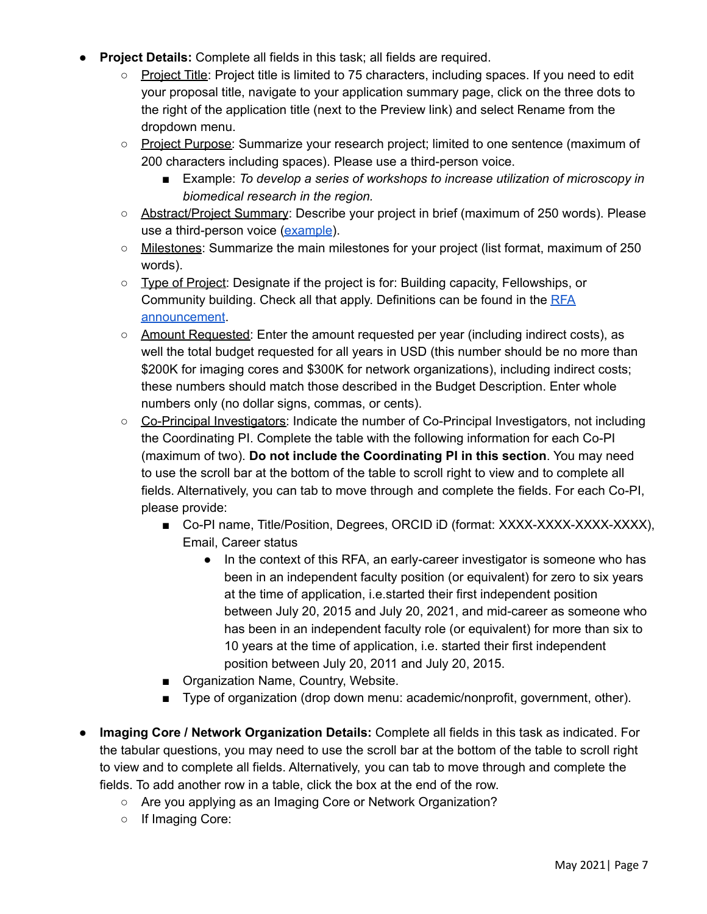- **Project Details:** Complete all fields in this task; all fields are required.
	- Project Title: Project title is limited to 75 characters, including spaces. If you need to edit your proposal title, navigate to your application summary page, click on the three dots to the right of the application title (next to the Preview link) and select Rename from the dropdown menu.
	- Project Purpose: Summarize your research project; limited to one sentence (maximum of 200 characters including spaces). Please use a third-person voice.
		- Example: *To develop a series of workshops to increase utilization of microscopy in biomedical research in the region.*
	- Abstract/Project Summary: Describe your project in brief (maximum of 250 words). Please use a third-person voice [\(example\)](https://chanzuckerberg.com/imaging/developing-an-advanced-bioimaging-core-in-latin-america/).
	- Milestones: Summarize the main milestones for your project (list format, maximum of 250 words).
	- Type of Project: Designate if the project is for: Building capacity, Fellowships, or Community building. Check all that apply. Definitions can be found in the [RFA](https://chanzuckerberg.com/rfa/expanding-global-access-bioimaging/) [announcement](https://chanzuckerberg.com/rfa/expanding-global-access-bioimaging/).
	- Amount Requested: Enter the amount requested per year (including indirect costs), as well the total budget requested for all years in USD (this number should be no more than \$200K for imaging cores and \$300K for network organizations), including indirect costs; these numbers should match those described in the Budget Description. Enter whole numbers only (no dollar signs, commas, or cents).
	- Co-Principal Investigators: Indicate the number of Co-Principal Investigators, not including the Coordinating PI. Complete the table with the following information for each Co-PI (maximum of two). **Do not include the Coordinating PI in this section**. You may need to use the scroll bar at the bottom of the table to scroll right to view and to complete all fields. Alternatively, you can tab to move through and complete the fields. For each Co-PI, please provide:
		- Co-PI name, Title/Position, Degrees, ORCID iD (format: XXXX-XXXX-XXXX-XXXX), Email, Career status
			- In the context of this RFA, an early-career investigator is someone who has been in an independent faculty position (or equivalent) for zero to six years at the time of application, i.e.started their first independent position between July 20, 2015 and July 20, 2021, and mid-career as someone who has been in an independent faculty role (or equivalent) for more than six to 10 years at the time of application, i.e. started their first independent position between July 20, 2011 and July 20, 2015.
		- Organization Name, Country, Website.
		- Type of organization (drop down menu: academic/nonprofit, government, other).
- **Imaging Core / Network Organization Details:** Complete all fields in this task as indicated. For the tabular questions, you may need to use the scroll bar at the bottom of the table to scroll right to view and to complete all fields. Alternatively, you can tab to move through and complete the fields. To add another row in a table, click the box at the end of the row.
	- Are you applying as an Imaging Core or Network Organization?
	- If Imaging Core: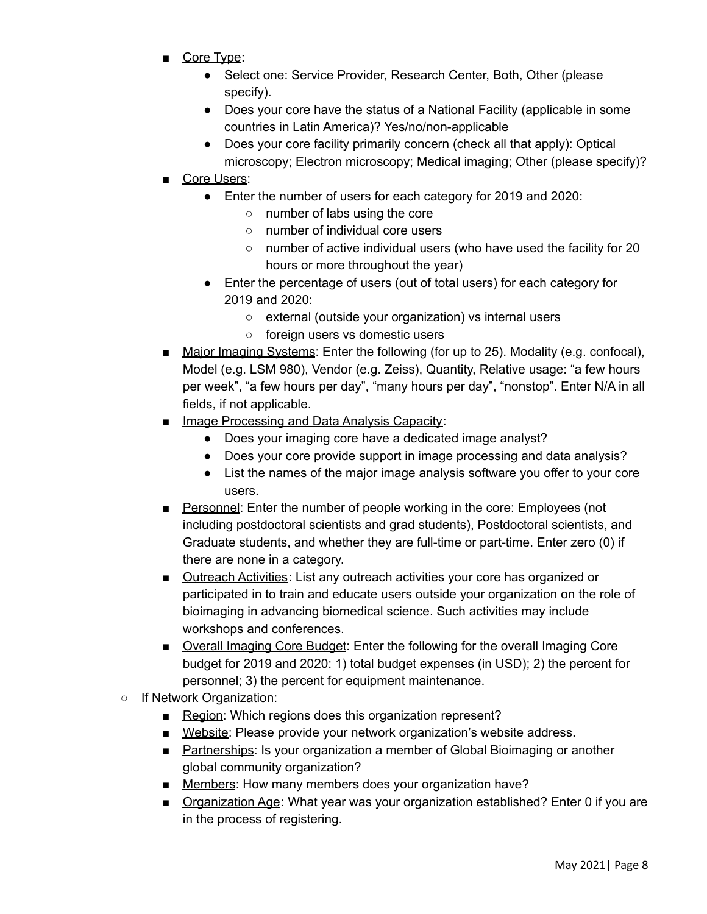- Core Type:
	- Select one: Service Provider, Research Center, Both, Other (please specify).
	- Does your core have the status of a National Facility (applicable in some countries in Latin America)? Yes/no/non-applicable
	- Does your core facility primarily concern (check all that apply): Optical microscopy; Electron microscopy; Medical imaging; Other (please specify)?

#### ■ Core Users:

- Enter the number of users for each category for 2019 and 2020:
	- number of labs using the core
	- number of individual core users
	- number of active individual users (who have used the facility for 20 hours or more throughout the year)
- Enter the percentage of users (out of total users) for each category for 2019 and 2020:
	- external (outside your organization) vs internal users
	- foreign users vs domestic users
- Major Imaging Systems: Enter the following (for up to 25). Modality (e.g. confocal), Model (e.g. LSM 980), Vendor (e.g. Zeiss), Quantity, Relative usage: "a few hours per week", "a few hours per day", "many hours per day", "nonstop". Enter N/A in all fields, if not applicable.
- Image Processing and Data Analysis Capacity:
	- Does your imaging core have a dedicated image analyst?
	- Does your core provide support in image processing and data analysis?
	- List the names of the major image analysis software you offer to your core users.
- Personnel: Enter the number of people working in the core: Employees (not including postdoctoral scientists and grad students), Postdoctoral scientists, and Graduate students, and whether they are full-time or part-time. Enter zero (0) if there are none in a category.
- Outreach Activities: List any outreach activities your core has organized or participated in to train and educate users outside your organization on the role of bioimaging in advancing biomedical science. Such activities may include workshops and conferences.
- Overall Imaging Core Budget: Enter the following for the overall Imaging Core budget for 2019 and 2020: 1) total budget expenses (in USD); 2) the percent for personnel; 3) the percent for equipment maintenance.
- **○** If Network Organization:
	- Region: Which regions does this organization represent?
	- Website: Please provide your network organization's website address.
	- Partnerships: Is your organization a member of Global Bioimaging or another global community organization?
	- Members: How many members does your organization have?
	- Organization Age: What year was your organization established? Enter 0 if you are in the process of registering.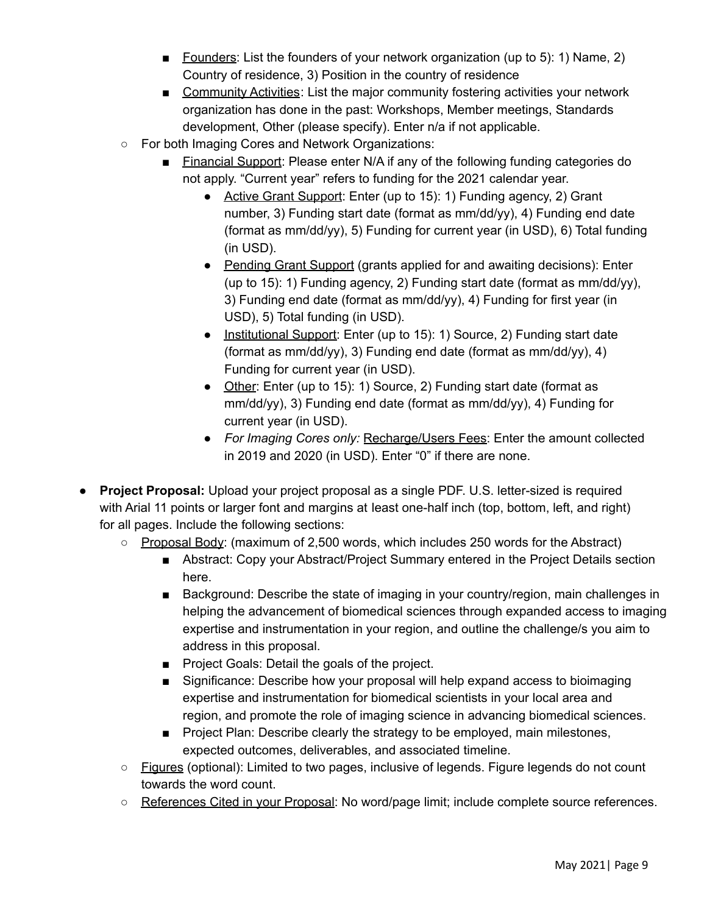- Founders: List the founders of your network organization (up to 5): 1) Name, 2) Country of residence, 3) Position in the country of residence
- Community Activities: List the major community fostering activities your network organization has done in the past: Workshops, Member meetings, Standards development, Other (please specify). Enter n/a if not applicable.
- For both Imaging Cores and Network Organizations:
	- Financial Support: Please enter N/A if any of the following funding categories do not apply. "Current year" refers to funding for the 2021 calendar year.
		- Active Grant Support: Enter (up to 15): 1) Funding agency, 2) Grant number, 3) Funding start date (format as mm/dd/yy), 4) Funding end date (format as mm/dd/yy), 5) Funding for current year (in USD), 6) Total funding (in USD).
		- Pending Grant Support (grants applied for and awaiting decisions): Enter (up to 15): 1) Funding agency, 2) Funding start date (format as mm/dd/yy), 3) Funding end date (format as mm/dd/yy), 4) Funding for first year (in USD), 5) Total funding (in USD).
		- Institutional Support: Enter (up to 15): 1) Source, 2) Funding start date (format as mm/dd/yy), 3) Funding end date (format as mm/dd/yy), 4) Funding for current year (in USD).
		- Other: Enter (up to 15): 1) Source, 2) Funding start date (format as mm/dd/yy), 3) Funding end date (format as mm/dd/yy), 4) Funding for current year (in USD).
		- *For Imaging Cores only:* Recharge/Users Fees: Enter the amount collected in 2019 and 2020 (in USD). Enter "0" if there are none.
- **Project Proposal:** Upload your project proposal as a single PDF. U.S. letter-sized is required with Arial 11 points or larger font and margins at least one-half inch (top, bottom, left, and right) for all pages. Include the following sections:
	- Proposal Body: (maximum of 2,500 words, which includes 250 words for the Abstract)
		- Abstract: Copy your Abstract/Project Summary entered in the Project Details section here.
		- Background: Describe the state of imaging in your country/region, main challenges in helping the advancement of biomedical sciences through expanded access to imaging expertise and instrumentation in your region, and outline the challenge/s you aim to address in this proposal.
		- Project Goals: Detail the goals of the project.
		- Significance: Describe how your proposal will help expand access to bioimaging expertise and instrumentation for biomedical scientists in your local area and region, and promote the role of imaging science in advancing biomedical sciences.
		- Project Plan: Describe clearly the strategy to be employed, main milestones, expected outcomes, deliverables, and associated timeline.
	- Figures (optional): Limited to two pages, inclusive of legends. Figure legends do not count towards the word count.
	- References Cited in your Proposal: No word/page limit; include complete source references.